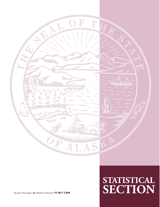

## **STATISTICAL ALASKA TEACHERS' RETIREMENT SYSTEM** • **FY 2011 CAFR SECTION**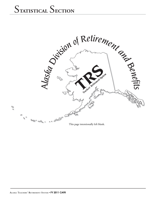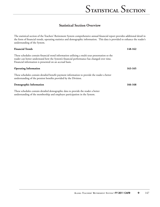#### **Statistical Section Overview**

The statistical section of the Teachers' Retirement System comprehensive annual financial report provides additional detail in the form of financial trends, operating statistics and demographic information. This data is provided to enhance the reader's understanding of the System.

| <b>Financial Trends</b>                                                                                                                                                                                                                                 | 148-162 |
|---------------------------------------------------------------------------------------------------------------------------------------------------------------------------------------------------------------------------------------------------------|---------|
| These schedules contain financial trend information utilizing a multi-year presentation so the<br>reader can better understand how the System's financial performance has changed over time.<br>Financial information is presented on an accrual basis. |         |
| <b>Operating Information</b>                                                                                                                                                                                                                            | 163-165 |
| These schedules contain detailed benefit payment information to provide the reader a better<br>understanding of the pension benefits provided by the Division.                                                                                          |         |
| Demographic Information                                                                                                                                                                                                                                 | 166-168 |
| These schedules contain detailed demographic data to provide the reader a better                                                                                                                                                                        |         |

These schedules contain detailed demographic data to provide the reader a better understanding of the membership and employer participation in the System.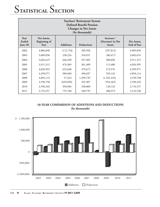| <b>Teachers' Retirement System</b><br><b>Defined Benefit Pension</b><br><b>Changes in Net Assets</b><br>(In thousands) |                                            |                  |                   |                                                  |                                   |
|------------------------------------------------------------------------------------------------------------------------|--------------------------------------------|------------------|-------------------|--------------------------------------------------|-----------------------------------|
| Year<br>Ended<br>June 30                                                                                               | Net Assets,<br><b>Beginning of</b><br>Year | <b>Additions</b> | <b>Deductions</b> | Increase /<br>(Decrease) in Net<br><b>Assets</b> | Net Assets,<br><b>End of Year</b> |
| 2002                                                                                                                   | 4,086,848                                  | (112,754)        | 285,058           | (397, 812)                                       | 3,689,036                         |
| 2003                                                                                                                   | 3,689,036                                  | 230,234          | 316,651           | (86, 417)                                        | 3,602,619                         |
| 2004                                                                                                                   | 3,602,619                                  | 646,298          | 337,402           | 308,896                                          | 3,911,515                         |
| 2005                                                                                                                   | 3,911,515                                  | 476,969          | 361,489           | 115,480                                          | 4,026,995                         |
| 2006                                                                                                                   | 4,026,995                                  | 652,648          | 379,672           | 272,976                                          | 4,299,971                         |
| 2007                                                                                                                   | 4,299,971                                  | 989,840          | 396,697           | 593,143                                          | 4,893,114                         |
| 2008                                                                                                                   | 4,893,114                                  | 57,423           | 1,399,739         | (1,342,316)                                      | 3,550,798                         |
| 2009                                                                                                                   | 3,550,798                                  | (629, 058)       | 325,307           | (954, 365)                                       | 2,596,433                         |
| 2010                                                                                                                   | 2,596,433                                  | 458,984          | 338,860           | 120,124                                          | 2,716,557                         |
| 2011                                                                                                                   | 2,716,557                                  | 755,768          | 348,795           | 406,973                                          | 3,123,530                         |



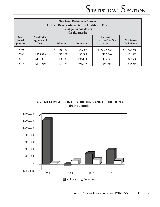| <b>Teachers' Retirement System</b><br>Defined Benefit Alaska Retiree Healthcare Trust<br><b>Changes in Net Assets</b><br>(In thousands) |                                            |                  |                   |                                                  |                            |
|-----------------------------------------------------------------------------------------------------------------------------------------|--------------------------------------------|------------------|-------------------|--------------------------------------------------|----------------------------|
| Year<br>Ended<br>June 30                                                                                                                | Net Assets,<br><b>Beginning of</b><br>Year | <b>Additions</b> | <b>Deductions</b> | Increase /<br>(Decrease) in Net<br><b>Assets</b> | Net Assets,<br>End of Year |
| 2008                                                                                                                                    | \$                                         | \$1,283,865      | \$<br>30,292      | \$1,253,573                                      | \$1,253,573                |
| 2009                                                                                                                                    | 1,253,573                                  | (27, 157)        | 95,383            | (122, 540)                                       | 1,131,033                  |
| 2010                                                                                                                                    | 1,131,033                                  | 300,736          | 124,133           | 176,603                                          | 1,307,636                  |
| 2011                                                                                                                                    | 1,307,636                                  | 408,179          | 106,485           | 301,694                                          | 1,609,330                  |

**4-YEAR COMPARISON OF ADDITIONS AND DEDUCTIONS (In thousands)**

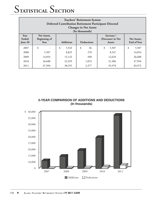| <b>Teachers' Retirement System</b><br><b>Deferred Contribution Retirement Participant Directed</b><br><b>Changes in Net Assets</b><br>(In thousands) |                                            |                  |                   |                                                  |                            |
|------------------------------------------------------------------------------------------------------------------------------------------------------|--------------------------------------------|------------------|-------------------|--------------------------------------------------|----------------------------|
| Year<br>Ended<br>June 30                                                                                                                             | Net Assets,<br><b>Beginning of</b><br>Year | <b>Additions</b> | <b>Deductions</b> | Increase /<br>(Decrease) in Net<br><b>Assets</b> | Net Assets,<br>End of Year |
| 2007                                                                                                                                                 | \$                                         | \$<br>5,543      | \$<br>36          | \$<br>5,507                                      | \$<br>5,507                |
| 2008                                                                                                                                                 | 5,507                                      | 8,825            | 278               | 8,547                                            | 14,054                     |
| 2009                                                                                                                                                 | 14,054                                     | 13,132           | 498               | 12,634                                           | 26,688                     |
| 2010                                                                                                                                                 | 26,688                                     | 22,359           | 1,053             | 21,306                                           | 47,994                     |
| 2011                                                                                                                                                 | 47,994                                     | 38,355           | 2,377             | 35,978                                           | 83,972                     |

**5-YEAR COMPARISON OF ADDITIONS AND DEDUCTIONS (In thousands)**

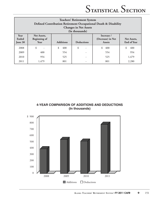| <b>Teachers' Retirement System</b><br>Defined Contribution Retirement Occupational Death & Disability<br><b>Changes in Net Assets</b><br>(In thousands) |                                     |                  |                          |                                                  |                            |
|---------------------------------------------------------------------------------------------------------------------------------------------------------|-------------------------------------|------------------|--------------------------|--------------------------------------------------|----------------------------|
| Year<br>Ended<br>June 30                                                                                                                                | Net Assets,<br>Beginning of<br>Year | <b>Additions</b> | <b>Deductions</b>        | Increase /<br>(Decrease) in Net<br><b>Assets</b> | Net Assets,<br>End of Year |
| 2008                                                                                                                                                    | \$                                  | 400<br>\$        | \$<br>۰                  | \$<br>400                                        | \$<br>400                  |
| 2009                                                                                                                                                    | 400                                 | 554              | $\overline{\phantom{0}}$ | 554                                              | 954                        |
| 2010                                                                                                                                                    | 954                                 | 525              | -                        | 525                                              | 1,479                      |
| 2011                                                                                                                                                    | 1,479                               | 801              |                          | 801                                              | 2.280                      |



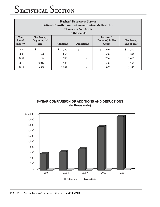| <b>Teachers' Retirement System</b><br>Defined Contribution Retirement Retiree Medical Plan<br><b>Changes in Net Assets</b><br>(In thousands) |                                            |                  |                                |                                                  |                            |
|----------------------------------------------------------------------------------------------------------------------------------------------|--------------------------------------------|------------------|--------------------------------|--------------------------------------------------|----------------------------|
| Year<br>Ended<br>June 30                                                                                                                     | Net Assets,<br><b>Beginning of</b><br>Year | <b>Additions</b> | <b>Deductions</b>              | Increase /<br>(Decrease) in Net<br><b>Assets</b> | Net Assets,<br>End of Year |
| 2007                                                                                                                                         | \$                                         | \$<br>590        | \$<br>$\overline{\phantom{a}}$ | \$<br>590                                        | 590                        |
| 2008                                                                                                                                         | 590                                        | 656              | $\overline{\phantom{a}}$       | 656                                              | 1,246                      |
| 2009                                                                                                                                         | 1,246                                      | 766              | -                              | 766                                              | 2,012                      |
| 2010                                                                                                                                         | 2,012                                      | 1,586            | -                              | 1,586                                            | 3,598                      |
| 2011                                                                                                                                         | 3,598                                      | 1,947            | -                              | 1,947                                            | 5,545                      |

**5-YEAR COMPARISON OF ADDITIONS AND DEDUCTIONS (In thousands)**

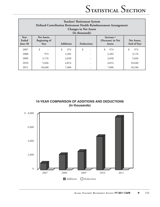| <b>Teachers' Retirement System</b><br>Defined Contribution Retirement Health Reimbursement Arrangement<br><b>Changes in Net Assets</b><br>(In thousands) |                                            |                  |                          |                                                  |                                   |
|----------------------------------------------------------------------------------------------------------------------------------------------------------|--------------------------------------------|------------------|--------------------------|--------------------------------------------------|-----------------------------------|
| Year<br>Ended<br>June 30                                                                                                                                 | Net Assets,<br><b>Beginning of</b><br>Year | <b>Additions</b> | <b>Deductions</b>        | Increase /<br>(Decrease) in Net<br><b>Assets</b> | Net Assets,<br><b>End of Year</b> |
| 2007                                                                                                                                                     | \$                                         | \$<br>974        | \$                       | \$<br>974                                        | 974                               |
| 2008                                                                                                                                                     | 974                                        | 2,202            |                          | 2,202                                            | 3,176                             |
| 2009                                                                                                                                                     | 3,176                                      | 2,650            |                          | 2,650                                            | 5,826                             |
| 2010                                                                                                                                                     | 5,826                                      | 4,814            | $\overline{\phantom{a}}$ | 4,814                                            | 10,640                            |
| 2011                                                                                                                                                     | 10,640                                     | 7,606            |                          | 7,606                                            | 18,246                            |

**10-YEAR COMPARISON OF ADDITIONS AND DEDUCTIONS (In thousands)**

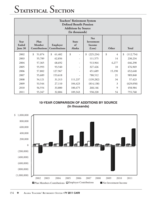| <b>Teachers' Retirement System</b><br><b>Defined Benefit Pension</b><br><b>Additions by Source</b><br>(In thousands)                                                                              |              |              |         |                  |         |                 |  |
|---------------------------------------------------------------------------------------------------------------------------------------------------------------------------------------------------|--------------|--------------|---------|------------------|---------|-----------------|--|
| <b>Net</b><br>Plan<br>Year<br><b>State</b><br>Investment<br>Ended<br>Employer<br>of<br>Member<br>Income<br>Contributions<br><b>Total</b><br>Contributions<br>Alaska<br>Other<br>(Loss)<br>June 30 |              |              |         |                  |         |                 |  |
| 2002                                                                                                                                                                                              | \$<br>51,074 | \$<br>61,402 | \$      | (225, 234)<br>\$ | \$<br>4 | \$<br>(112,754) |  |
| 2003                                                                                                                                                                                              | 55,789       | 62,856       | -       | 111,575          | 14      | 230,234         |  |
| 2004                                                                                                                                                                                              | 57,365       | 68,692       |         | 513,964          | 6,277   | 646,298         |  |
| 2005                                                                                                                                                                                              | 55,993       | 93,540       |         | 327,426          | 10      | 476,969         |  |
| 2006                                                                                                                                                                                              | 57,802       | 127,967      |         | 451,689          | 15,190  | 652,648         |  |
| 2007                                                                                                                                                                                              | 55,689       | 153,618      |         | 780,512          | 21      | 989,840         |  |
| 2008                                                                                                                                                                                              | 54,121       | 31,313       | 111,237 | (139, 282)       | 34      | 57,423          |  |
| 2009                                                                                                                                                                                              | 53,544       | 27,110       | 104,423 | (814, 138)       | 3       | (629, 058)      |  |
| 2010                                                                                                                                                                                              | 56,554       | 33,800       | 100,475 | 268,146          | 9       | 458,984         |  |
| 2011                                                                                                                                                                                              | 55,347       | 32,804       | 109,343 | 558,220          | 54      | 755,768         |  |

**10-YEAR COMPARISON OF ADDITIONS BY SOURCE (In thousands)**

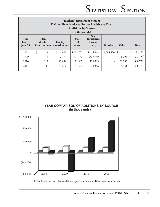| <b>Teachers' Retirement System</b><br>Defined Benefit Alaska Retiree Healthcare Trust<br><b>Additions by Source</b><br>(In thousands) |                                        |                                  |                              |                                              |             |        |              |
|---------------------------------------------------------------------------------------------------------------------------------------|----------------------------------------|----------------------------------|------------------------------|----------------------------------------------|-------------|--------|--------------|
| <b>Year</b><br>Ended<br>June 30                                                                                                       | Plan<br>Member<br><b>Contributions</b> | Employer<br><b>Contributions</b> | <b>State</b><br>of<br>Alaska | <b>Net</b><br>Investment<br>Income<br>(Loss) | Transfer    | Other  | <b>Total</b> |
| 2008                                                                                                                                  | \$<br>111                              | \$43,697                         | \$158,755                    | \$<br>(5,318)                                | \$1,086,620 | \$     | \$1,283,865  |
| 2009                                                                                                                                  | 116                                    | 47,174                           | 101,877                      | (179, 919)                                   | -           | 3,595  | (27, 157)    |
| 2010                                                                                                                                  | 117                                    | 42,694                           | 72,987                       | 125,903                                      | -           | 59,035 | 300,736      |
| 2011                                                                                                                                  | 138                                    | 43,217                           | 81,507                       | 278,366                                      | -           | 4,951  | 408,179      |





Plan Members Contributions  $\square_{\text{Employer}}$  Contributions  $\square$  Net Investment Income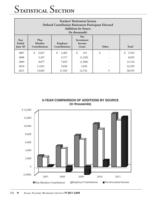| <b>Teachers' Retirement System</b><br><b>Defined Contribution Retirement Participant Directed</b><br><b>Additions by Source</b><br>(In thousands) |                                                                                                                            |             |           |              |             |
|---------------------------------------------------------------------------------------------------------------------------------------------------|----------------------------------------------------------------------------------------------------------------------------|-------------|-----------|--------------|-------------|
| Year<br>Ended<br>June 30                                                                                                                          | <b>Net</b><br>Plan<br>Investment<br>Member<br>Employer<br>Income<br><b>Contributions</b><br><b>Contributions</b><br>(Loss) |             | Other     | <b>Total</b> |             |
| 2007                                                                                                                                              | \$<br>2,827                                                                                                                | \$<br>2,465 | \$<br>251 | \$           | 5,543<br>\$ |
| 2008                                                                                                                                              | 5,347                                                                                                                      | 4,717       | (1,239)   |              | 8,825       |
| 2009                                                                                                                                              | 8,077                                                                                                                      | 7,023       | (1,968)   |              | 13,132      |
| 2010                                                                                                                                              | 11,051                                                                                                                     | 9,658       | 1,650     |              | 22,359      |
| 2011                                                                                                                                              | 13,665                                                                                                                     | 11,943      | 12,742    | 5            | 38,355      |

**5-YEAR COMPARISON OF ADDITIONS BY SOURCE (In thousands)**

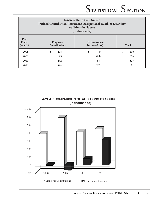| <b>Teachers' Retirement System</b><br>Defined Contribution Retirement Occupational Death & Disability<br><b>Additions by Source</b><br>(In thousands) |                                  |                                        |              |  |  |
|-------------------------------------------------------------------------------------------------------------------------------------------------------|----------------------------------|----------------------------------------|--------------|--|--|
| Plan<br>Ended<br>June 30                                                                                                                              | Employer<br><b>Contributions</b> | <b>Net Investment</b><br>Income (Loss) | <b>Total</b> |  |  |
| 2008                                                                                                                                                  | \$<br>408                        | \$<br>(8)                              | \$<br>400    |  |  |
| 2009                                                                                                                                                  | 623                              | (69)                                   | 554          |  |  |
| 2010                                                                                                                                                  | 442                              | 83                                     | 525          |  |  |
| 2011                                                                                                                                                  | 474                              | 327                                    | 801          |  |  |



**ALASKA TEACHERS' RETIREMENT SYSTEM** • **FY 2011 CAFR** ❖ 157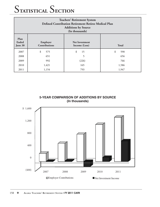| <b>Teachers' Retirement System</b><br>Defined Contribution Retirement Retiree Medical Plan<br><b>Additions by Source</b><br>(In thousands) |           |          |           |  |  |  |
|--------------------------------------------------------------------------------------------------------------------------------------------|-----------|----------|-----------|--|--|--|
| Plan<br><b>Ended</b><br>Employer<br><b>Net Investment</b><br>Contributions<br><b>Total</b><br>June 30<br>Income (Loss)                     |           |          |           |  |  |  |
| 2007                                                                                                                                       | \$<br>575 | \$<br>15 | \$<br>590 |  |  |  |
| 2008                                                                                                                                       | 651       | 5        | 656       |  |  |  |
| 2009                                                                                                                                       | 992       | (226)    | 766       |  |  |  |
| 2010                                                                                                                                       | 1,421     | 165      | 1,586     |  |  |  |
| 2011                                                                                                                                       | 1,154     | 793      | 1,947     |  |  |  |

**5-YEAR COMPARISON OF ADDITIONS BY SOURCE (In thousands)**

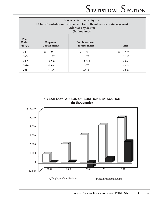| <b>Teachers' Retirement System</b><br>Defined Contribution Retirement Health Reimbursement Arrangement<br><b>Additions by Source</b><br>(In thousands) |                       |          |           |  |  |  |
|--------------------------------------------------------------------------------------------------------------------------------------------------------|-----------------------|----------|-----------|--|--|--|
| <b>Plan</b><br>Ended<br>Employer<br><b>Net Investment</b><br>Contributions<br><b>Total</b><br>June 30<br>Income (Loss)                                 |                       |          |           |  |  |  |
| 2007                                                                                                                                                   | \$<br>947             | \$<br>27 | \$<br>974 |  |  |  |
| 2008                                                                                                                                                   | 2,127                 | 75       | 2,202     |  |  |  |
| 2009                                                                                                                                                   | 3,206                 | (556)    | 2,650     |  |  |  |
| 2010                                                                                                                                                   | 4,344<br>4,814<br>470 |          |           |  |  |  |
| 2011                                                                                                                                                   | 5,195                 | 2,411    | 7,606     |  |  |  |

**5-YEAR COMPARISON OF ADDITIONS BY SOURCE (In thousands)**

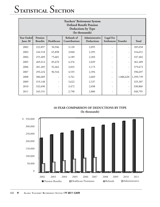|                       | <b>Teachers' Retirement System</b><br><b>Defined Benefit Pension</b><br><b>Deductions by Type</b><br>(In thousands) |            |                             |                                     |                                |                 |              |
|-----------------------|---------------------------------------------------------------------------------------------------------------------|------------|-----------------------------|-------------------------------------|--------------------------------|-----------------|--------------|
| Year Ended<br>June 30 | Pension<br><b>Benefits</b>                                                                                          | Healthcare | Refunds of<br>Contributions | Administrative<br><b>Deductions</b> | <b>Legal Fee</b><br>Settlement | <b>Transfer</b> | <b>Total</b> |
| 2002                  | 222,897                                                                                                             | 56,946     | 3,120                       | 2,095                               |                                |                 | 285,058      |
| 2003                  | 244,518                                                                                                             | 65,898     | 3,840                       | 2,395                               |                                |                 | 316,651      |
| 2004                  | 255,409                                                                                                             | 75,601     | 4,189                       | 2,203                               |                                |                 | 337,402      |
| 2005                  | 269,414                                                                                                             | 85,670     | 4,376                       | 2,029                               | $\overline{\phantom{m}}$       | -               | 361,489      |
| 2006                  | 281,205                                                                                                             | 92,462     | 3,832                       | 2,173                               |                                |                 | 379,672      |
| 2007                  | 293,224                                                                                                             | 96,544     | 4,535                       | 2,394                               |                                |                 | 396,697      |
| 2008                  | 306,689                                                                                                             |            | 3,761                       | 2,669                               |                                | 1,086,620       | 1,399,739    |
| 2009                  | 319,148                                                                                                             |            | 3,622                       | 2,537                               | $\overline{\phantom{a}}$       |                 | 325,307      |
| 2010                  | 332,690                                                                                                             |            | 3,472                       | 2,698                               |                                |                 | 338,860      |
| 2011                  | 343,191                                                                                                             |            | 2,798                       | 2,806                               |                                |                 | 348,795      |

#### **10-YEAR COMPARISON OF DEDUCTIONS BY TYPE (In thousands)**

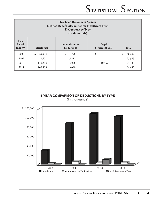| <b>Teachers' Retirement System</b><br>Defined Benefit Alaska Retiree Healthcare Trust<br><b>Deductions by Type</b><br>(In thousands) |              |                            |    |              |  |
|--------------------------------------------------------------------------------------------------------------------------------------|--------------|----------------------------|----|--------------|--|
| Plan<br>Administrative<br>Ended<br>Legal<br>Healthcare<br><b>Settlement Fees</b><br><b>Total</b><br><b>Deductions</b><br>June 30     |              |                            |    |              |  |
| 2008                                                                                                                                 | \$<br>29,494 | \$<br>798                  | \$ | \$<br>30,292 |  |
| 2009                                                                                                                                 | 89,571       | 5,812                      |    | 95,383       |  |
| 2010                                                                                                                                 | 110,313      | 124,133<br>3,228<br>10,592 |    |              |  |
| 2011                                                                                                                                 | 103,405      | 3,080                      |    | 106,485      |  |

**4-YEAR COMPARISON OF DEDUCTIONS BY TYPE (In thousands)**

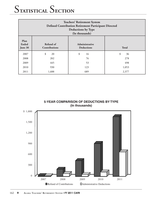| <b>Teachers' Retirement System</b><br><b>Defined Contribution Retirement Participant Directed</b><br><b>Deductions by Type</b><br>(In thousands) |                                                                                          |          |          |  |  |  |  |
|--------------------------------------------------------------------------------------------------------------------------------------------------|------------------------------------------------------------------------------------------|----------|----------|--|--|--|--|
| Plan<br><b>Ended</b><br>June 30                                                                                                                  | Refund of<br>Administrative<br><b>Total</b><br><b>Contributions</b><br><b>Deductions</b> |          |          |  |  |  |  |
| 2007                                                                                                                                             | \$<br>20                                                                                 | \$<br>16 | \$<br>36 |  |  |  |  |
| 2008                                                                                                                                             | 202                                                                                      | 76       | 278      |  |  |  |  |
| 2009                                                                                                                                             | 445                                                                                      | 53       | 498      |  |  |  |  |
| 2010                                                                                                                                             | 930<br>123<br>1,053                                                                      |          |          |  |  |  |  |
| 2011                                                                                                                                             | 1,688                                                                                    | 689      | 2,377    |  |  |  |  |

**5-YEAR COMPARISON OF DEDUCTIONS BY TYPE (In thousands)**

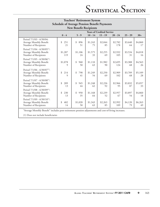| <b>Teachers' Retirement System</b>                                                                   |                                                     |                 |               |                                               |                |               |               |  |
|------------------------------------------------------------------------------------------------------|-----------------------------------------------------|-----------------|---------------|-----------------------------------------------|----------------|---------------|---------------|--|
|                                                                                                      | <b>Schedule of Average Pension Benefit Payments</b> |                 |               |                                               |                |               |               |  |
| <b>New Benefit Recipients</b>                                                                        |                                                     |                 |               |                                               |                |               |               |  |
|                                                                                                      | $0 - 4$                                             | $5 - 9$         | $10 - 14$     | <b>Years of Credited Service</b><br>$15 - 19$ | $20 - 24$      | $25 - 29$     | $30+$         |  |
| Period 7/1/03 - 6/30/04:<br>Average Monthly Benefit<br>Number of Recipients                          | \$<br>251<br>21                                     | \$<br>896<br>51 | \$1,243<br>75 | \$2,044<br>85                                 | \$2,782<br>178 | \$3,640<br>64 | \$4,860<br>17 |  |
| Period 7/1/04 - 6/30/05 <sup>(1)</sup> :<br>Average Monthly Benefit<br>Number of Recipients          | \$1,287<br>119                                      | \$1,106<br>24   | \$1,575<br>33 | \$2,255<br>69                                 | \$2,932<br>105 | \$3,534<br>31 | \$4,018<br>16 |  |
| Period 7/1/05 - 6/30/06 <sup>(1)</sup> :<br>Average Monthly Benefit<br>Number of Recipients          | \$1,078<br>9                                        | \$<br>960<br>50 | \$1,110<br>63 | \$1,982<br>90                                 | \$2,695<br>124 | \$3,388<br>68 | \$4,563<br>26 |  |
| Period 7/1/06 - 6/30/07 <sup>(1)</sup> :<br>Average Monthly Benefit<br>Number of Recipients          | \$<br>214<br>9                                      | \$<br>798<br>41 | \$1,249<br>54 | \$2,250<br>69                                 | \$2,909<br>102 | \$3,709<br>68 | \$5,109<br>28 |  |
| Period 7/1/07 - 6/30/08 <sup>(1)</sup> :<br>Average Monthly Benefit<br>Number of Recipients          | \$<br>209<br>13                                     | \$<br>945<br>44 | \$1,248<br>62 | \$2,226<br>92                                 | \$2,966<br>95  | \$3,832<br>87 | \$5,057<br>33 |  |
| Period 7/1/08 - 6/30/09 <sup>(1)</sup> :<br>Average Monthly Benefit<br>Number of Recipients          | \$<br>230<br>13                                     | \$<br>950<br>35 | \$1,168<br>64 | \$2,239<br>52                                 | \$2,957<br>67  | \$3,897<br>54 | \$4,860<br>18 |  |
| Period 7/1/09 - 6/30/10 <sup>(1)</sup> :<br>Average Monthly Benefit<br>Number of Recipients          | \$<br>482<br>14                                     | \$1,020<br>50   | \$1,343<br>63 | \$2,263<br>85                                 | \$2,992<br>109 | \$4,120<br>79 | \$6,263<br>49 |  |
| "Average Monthly Benefit" includes post-retirement pension adjustments and cost-of-living increases. |                                                     |                 |               |                                               |                |               |               |  |

(1) Does not include beneficiaries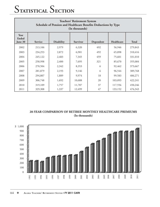| <b>Teachers' Retirement System</b><br>Schedule of Pension and Healthcare Benefits Deductions by Type<br>(In thousands) |         |                   |                 |           |            |              |  |  |
|------------------------------------------------------------------------------------------------------------------------|---------|-------------------|-----------------|-----------|------------|--------------|--|--|
| Year<br>Ended<br>June 30                                                                                               | Service | <b>Disability</b> | <b>Survivor</b> | Dependent | Healthcare | <b>Total</b> |  |  |
| 2002                                                                                                                   | 213,106 | 2,979             | 6,320           | 492       | 56,946     | 279,843      |  |  |
| 2003                                                                                                                   | 234,253 | 2,872             | 6,901           | 492       | 65,898     | 310,416      |  |  |
| 2004                                                                                                                   | 245,122 | 2,483             | 7,345           | 459       | 75,601     | 331,010      |  |  |
| 2005                                                                                                                   | 258,998 | 2,400             | 7,695           | 321       | 85,670     | 355,084      |  |  |
| 2006                                                                                                                   | 270,504 | 2,342             | 8,353           | 6         | 92,462     | 373,667      |  |  |
| 2007                                                                                                                   | 281,879 | 2,193             | 9,146           | 6         | 96,544     | 389,768      |  |  |
| 2008                                                                                                                   | 294,807 | 1,889             | 9,974           | 18        | 99,583     | 406,271      |  |  |
| 2009                                                                                                                   | 306,748 | 1,692             | 10,688          | 20        | 103,093    | 422,241      |  |  |
| 2010                                                                                                                   | 319,109 | 1,757             | 11,787          | 37        | 117,556    | 450,246      |  |  |
| 2011                                                                                                                   | 329,308 | 1,337             | 12,499          | 47        | 133,152    | 476,343      |  |  |

#### **20-YEAR COMPARISON OF RETIREE MONTHLY HEALTHCARE PREMIUMS (In thousands)**

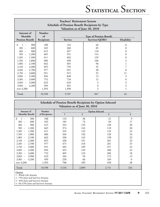| <b>Teachers' Retirement System</b><br><b>Schedule of Pension Benefit Recipients by Type</b><br>Valuation as of June 30, 2010                                                                                                                                                                                                  |                                                                                                         |                                                                                                         |                                                                                                      |                                                                                                                |  |  |
|-------------------------------------------------------------------------------------------------------------------------------------------------------------------------------------------------------------------------------------------------------------------------------------------------------------------------------|---------------------------------------------------------------------------------------------------------|---------------------------------------------------------------------------------------------------------|------------------------------------------------------------------------------------------------------|----------------------------------------------------------------------------------------------------------------|--|--|
| Amount of<br>Monthly<br><b>Pension Benefit</b>                                                                                                                                                                                                                                                                                | <b>Number</b><br>of<br>Recipients                                                                       | <b>Type of Pension Benefit</b><br>Survivor/QDRO<br><b>Disability</b><br>Service                         |                                                                                                      |                                                                                                                |  |  |
| \$<br>300<br>$\overline{a}$<br>$301 -$<br>600<br>$601 -$<br>900<br>1,200<br>$901 -$<br>1,500<br>$1,201 -$<br>1,800<br>$1,501 -$<br>$1,801 -$<br>2,100<br>2,400<br>$2,101 -$<br>$2,401 -$<br>2,700<br>$2,701 -$<br>3,000<br>3,300<br>$3,001 -$<br>3,600<br>$3,301 -$<br>$3,601 -$<br>3,900<br>4,200<br>$3,901 -$<br>over 4,200 | 188<br>345<br>615<br>665<br>611<br>606<br>662<br>855<br>977<br>951<br>856<br>752<br>623<br>499<br>1,393 | 142<br>260<br>497<br>551<br>482<br>498<br>565<br>793<br>931<br>915<br>840<br>734<br>618<br>491<br>1,390 | 46<br>85<br>118<br>114<br>129<br>106<br>96<br>55<br>38<br>25<br>13<br>12<br>2<br>6<br>$\overline{2}$ | $\theta$<br>$\Omega$<br>$\Omega$<br>$\Omega$<br>$\Omega$<br>2<br>7<br>8<br>11<br>3<br>6<br>3<br>$\overline{2}$ |  |  |
| Totals                                                                                                                                                                                                                                                                                                                        | 10,598                                                                                                  | 9,707                                                                                                   | 847                                                                                                  | 44                                                                                                             |  |  |

| <b>Schedule of Pension Benefit Recipients by Option Selected</b><br>Valuation as of June 30, 2010 |               |       |                     |       |     |  |  |
|---------------------------------------------------------------------------------------------------|---------------|-------|---------------------|-------|-----|--|--|
| <b>Number</b><br>Amount of<br><b>Option Selected</b>                                              |               |       |                     |       |     |  |  |
| <b>Monthly Benefit</b>                                                                            | of Recipients | 1     | $\overline{2}$<br>3 |       |     |  |  |
| $\mathfrak{L}$<br>300                                                                             | 188           | 110   | 38                  | 31    | 9   |  |  |
| $301 -$<br>600                                                                                    | 345           | 185   | 74                  | 69    | 17  |  |  |
| $601 -$<br>900                                                                                    | 615           | 324   | 133                 | 128   | 30  |  |  |
| $901 -$<br>1,200                                                                                  | 665           | 374   | 143                 | 118   | 30  |  |  |
| $1,201 -$<br>1,500                                                                                | 611           | 333   | 133                 | 123   | 22  |  |  |
| $1,501 -$<br>1,800                                                                                | 606           | 344   | 126                 | 120   | 16  |  |  |
| $1,801 -$<br>2,100                                                                                | 662           | 338   | 143                 | 158   | 23  |  |  |
| 2,400<br>$2,101 -$                                                                                | 855           | 430   | 191                 | 201   | 33  |  |  |
| $2,401 -$<br>2,700                                                                                | 977           | 473   | 218                 | 261   | 25  |  |  |
| $2,701 -$<br>3,000                                                                                | 951           | 483   | 189                 | 257   | 22  |  |  |
| $3,001 -$<br>3,300                                                                                | 856           | 425   | 149                 | 260   | 22  |  |  |
| $3,301 -$<br>3,600                                                                                | 752           | 405   | 123                 | 206   | 18  |  |  |
| $3,601 -$<br>3,900                                                                                | 623           | 344   | 94                  | 172   | 13  |  |  |
| 4,200<br>$3,901 -$                                                                                | 499           | 258   | 66                  | 169   | 6   |  |  |
| over 4,200                                                                                        | 1,393         | 708   | 189                 | 458   | 38  |  |  |
| Totals                                                                                            | 10,598        | 5,534 | 2,009               | 2,731 | 324 |  |  |

**Options** 

1 - Whole Life Annuity

2 - 75% Joint and Survivor Annuity

3 - 50% Joint and Survivor Annuity

4 - 66-2/3% Joint and Survivor Annuity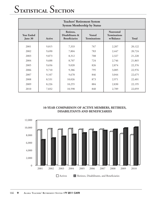| <b>Teachers' Retirement System</b><br><b>System Membership by Status</b> |        |                                                      |                                      |                                               |              |  |  |
|--------------------------------------------------------------------------|--------|------------------------------------------------------|--------------------------------------|-----------------------------------------------|--------------|--|--|
| <b>Year Ended</b><br>June 30                                             | Active | Retirees,<br>Disabilitants &<br><b>Beneficiaries</b> | <b>Vested</b><br><b>Terminations</b> | Nonvested<br><b>Terminations</b><br>w/Balance | <b>Total</b> |  |  |
| 2001                                                                     | 9,815  | 7,333                                                | 767                                  | 2,207                                         | 20,122       |  |  |
| 2002                                                                     | 9,690  | 7,804                                                | 783                                  | 2,447                                         | 20,724       |  |  |
| 2003                                                                     | 9,873  | 8,312                                                | 708                                  | 2,327                                         | 21,220       |  |  |
| 2004                                                                     | 9,688  | 8,707                                                | 724                                  | 2,746                                         | 21,865       |  |  |
| 2005                                                                     | 9,656  | 9,020                                                | 826                                  | 2,874                                         | 22,376       |  |  |
| 2006                                                                     | 9,710  | 9,386                                                | 795                                  | 3,085                                         | 22,976       |  |  |
| 2007                                                                     | 9,107  | 9,678                                                | 846                                  | 3,044                                         | 22,675       |  |  |
| 2008                                                                     | 8,531  | 10,026                                               | 873                                  | 2,971                                         | 22,401       |  |  |
| 2009                                                                     | 8,226  | 10,255                                               | 884                                  | 2,830                                         | 22,195       |  |  |
| 2010                                                                     | 7,832  | 10,598                                               | 840                                  | 2,789                                         | 22,059       |  |  |



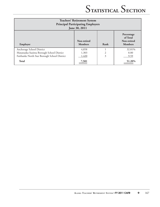| <b>Teachers' Retirement System</b><br><b>Principal Participating Employers</b><br>June 30, 2011 |                               |                |                                                         |  |  |
|-------------------------------------------------------------------------------------------------|-------------------------------|----------------|---------------------------------------------------------|--|--|
| Employer                                                                                        | Non-retired<br><b>Members</b> | Rank           | Percentage<br>of Total<br>Non-retired<br><b>Members</b> |  |  |
| Anchorage School District                                                                       | 4,858                         |                | 32.81%                                                  |  |  |
| Matanuska-Susitna Borough School District                                                       | 1,303                         | $\mathfrak{D}$ | 8.80                                                    |  |  |
| Fairbanks North Star Borough School District                                                    | 1,420                         | $\overline{3}$ | 9.59                                                    |  |  |
| <b>Total</b>                                                                                    | 7,581                         |                | 51.20%                                                  |  |  |